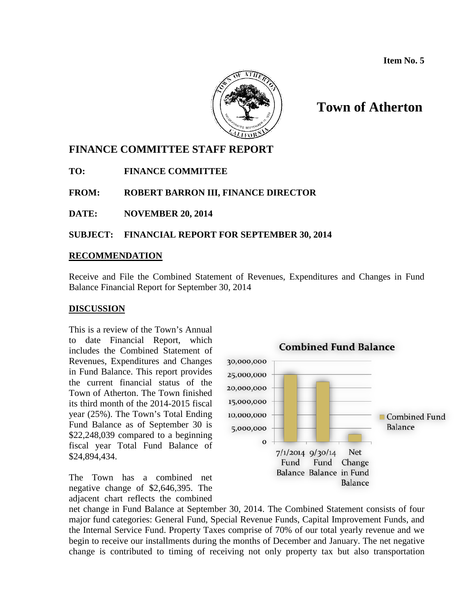

# **Town of Atherton**

## **FINANCE COMMITTEE STAFF REPORT**

**TO: FINANCE COMMITTEE**

**FROM: ROBERT BARRON III, FINANCE DIRECTOR**

**DATE: NOVEMBER 20, 2014** 

**SUBJECT: FINANCIAL REPORT FOR SEPTEMBER 30, 2014**

## **RECOMMENDATION**

Receive and File the Combined Statement of Revenues, Expenditures and Changes in Fund Balance Financial Report for September 30, 2014

### **DISCUSSION**

This is a review of the Town's Annual to date Financial Report, which includes the Combined Statement of Revenues, Expenditures and Changes in Fund Balance. This report provides the current financial status of the Town of Atherton. The Town finished its third month of the 2014-2015 fiscal year (25%). The Town's Total Ending Fund Balance as of September 30 is \$22,248,039 compared to a beginning fiscal year Total Fund Balance of \$24,894,434.

The Town has a combined net negative change of \$2,646,395. The adjacent chart reflects the combined



net change in Fund Balance at September 30, 2014. The Combined Statement consists of four major fund categories: General Fund, Special Revenue Funds, Capital Improvement Funds, and the Internal Service Fund. Property Taxes comprise of 70% of our total yearly revenue and we begin to receive our installments during the months of December and January. The net negative change is contributed to timing of receiving not only property tax but also transportation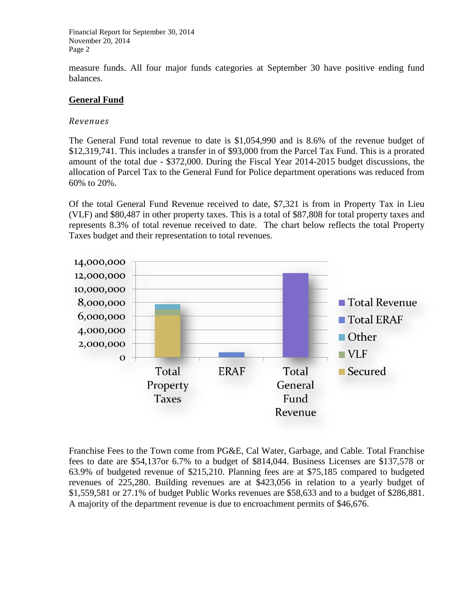measure funds. All four major funds categories at September 30 have positive ending fund balances.

## **General Fund**

## *Revenues*

The General Fund total revenue to date is \$1,054,990 and is 8.6% of the revenue budget of \$12,319,741. This includes a transfer in of \$93,000 from the Parcel Tax Fund. This is a prorated amount of the total due - \$372,000. During the Fiscal Year 2014-2015 budget discussions, the allocation of Parcel Tax to the General Fund for Police department operations was reduced from 60% to 20%.

Of the total General Fund Revenue received to date, \$7,321 is from in Property Tax in Lieu (VLF) and \$80,487 in other property taxes. This is a total of \$87,808 for total property taxes and represents 8.3% of total revenue received to date. The chart below reflects the total Property Taxes budget and their representation to total revenues.



Franchise Fees to the Town come from PG&E, Cal Water, Garbage, and Cable. Total Franchise fees to date are \$54,137or 6.7% to a budget of \$814,044. Business Licenses are \$137,578 or 63.9% of budgeted revenue of \$215,210. Planning fees are at \$75,185 compared to budgeted revenues of 225,280. Building revenues are at \$423,056 in relation to a yearly budget of \$1,559,581 or 27.1% of budget Public Works revenues are \$58,633 and to a budget of \$286,881. A majority of the department revenue is due to encroachment permits of \$46,676.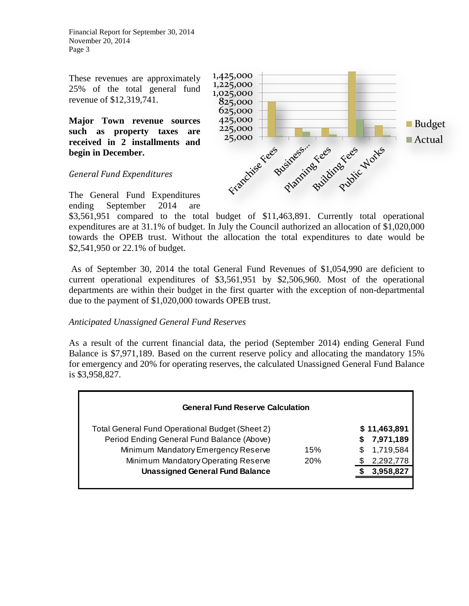These revenues are approximately 25% of the total general fund revenue of \$12,319,741.

**Major Town revenue sources such as property taxes are received in 2 installments and begin in December.** 





The General Fund Expenditures ending September 2014 are

\$3,561,951 compared to the total budget of \$11,463,891. Currently total operational expenditures are at 31.1% of budget. In July the Council authorized an allocation of \$1,020,000 towards the OPEB trust. Without the allocation the total expenditures to date would be \$2,541,950 or 22.1% of budget.

1,425,000

As of September 30, 2014 the total General Fund Revenues of \$1,054,990 are deficient to current operational expenditures of \$3,561,951 by \$2,506,960. Most of the operational departments are within their budget in the first quarter with the exception of non-departmental due to the payment of \$1,020,000 towards OPEB trust.

## *Anticipated Unassigned General Fund Reserves*

As a result of the current financial data, the period (September 2014) ending General Fund Balance is \$7,971,189. Based on the current reserve policy and allocating the mandatory 15% for emergency and 20% for operating reserves, the calculated Unassigned General Fund Balance is \$3,958,827.

| <b>General Fund Reserve Calculation</b>                |     |                 |
|--------------------------------------------------------|-----|-----------------|
| <b>Total General Fund Operational Budget (Sheet 2)</b> |     | \$11,463,891    |
| Period Ending General Fund Balance (Above)             |     | 7,971,189<br>S. |
| Minimum Mandatory Emergency Reserve                    | 15% | 1,719,584<br>S. |
| Minimum Mandatory Operating Reserve                    | 20% | 2,292,778       |
| <b>Unassigned General Fund Balance</b>                 |     | 3,958,827       |
|                                                        |     |                 |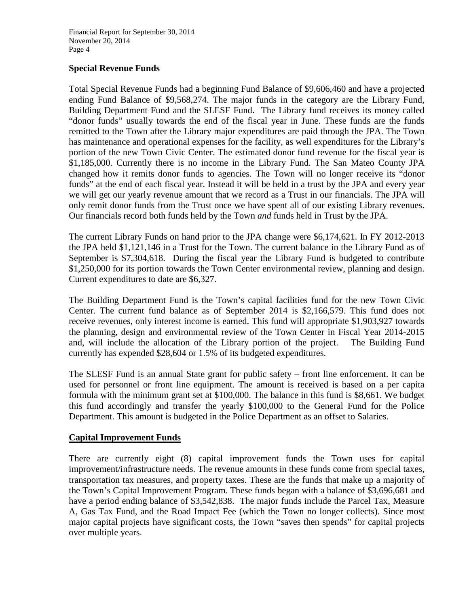## **Special Revenue Funds**

Total Special Revenue Funds had a beginning Fund Balance of \$9,606,460 and have a projected ending Fund Balance of \$9,568,274. The major funds in the category are the Library Fund, Building Department Fund and the SLESF Fund. The Library fund receives its money called "donor funds" usually towards the end of the fiscal year in June. These funds are the funds remitted to the Town after the Library major expenditures are paid through the JPA. The Town has maintenance and operational expenses for the facility, as well expenditures for the Library's portion of the new Town Civic Center. The estimated donor fund revenue for the fiscal year is \$1,185,000. Currently there is no income in the Library Fund. The San Mateo County JPA changed how it remits donor funds to agencies. The Town will no longer receive its "donor funds" at the end of each fiscal year. Instead it will be held in a trust by the JPA and every year we will get our yearly revenue amount that we record as a Trust in our financials. The JPA will only remit donor funds from the Trust once we have spent all of our existing Library revenues. Our financials record both funds held by the Town *and* funds held in Trust by the JPA.

The current Library Funds on hand prior to the JPA change were \$6,174,621. In FY 2012-2013 the JPA held \$1,121,146 in a Trust for the Town. The current balance in the Library Fund as of September is \$7,304,618. During the fiscal year the Library Fund is budgeted to contribute \$1,250,000 for its portion towards the Town Center environmental review, planning and design. Current expenditures to date are \$6,327.

The Building Department Fund is the Town's capital facilities fund for the new Town Civic Center. The current fund balance as of September 2014 is \$2,166,579. This fund does not receive revenues, only interest income is earned. This fund will appropriate \$1,903,927 towards the planning, design and environmental review of the Town Center in Fiscal Year 2014-2015 and, will include the allocation of the Library portion of the project. The Building Fund currently has expended \$28,604 or 1.5% of its budgeted expenditures.

The SLESF Fund is an annual State grant for public safety – front line enforcement. It can be used for personnel or front line equipment. The amount is received is based on a per capita formula with the minimum grant set at \$100,000. The balance in this fund is \$8,661. We budget this fund accordingly and transfer the yearly \$100,000 to the General Fund for the Police Department. This amount is budgeted in the Police Department as an offset to Salaries.

## **Capital Improvement Funds**

There are currently eight (8) capital improvement funds the Town uses for capital improvement/infrastructure needs. The revenue amounts in these funds come from special taxes, transportation tax measures, and property taxes. These are the funds that make up a majority of the Town's Capital Improvement Program. These funds began with a balance of \$3,696,681 and have a period ending balance of \$3,542,838. The major funds include the Parcel Tax, Measure A, Gas Tax Fund, and the Road Impact Fee (which the Town no longer collects). Since most major capital projects have significant costs, the Town "saves then spends" for capital projects over multiple years.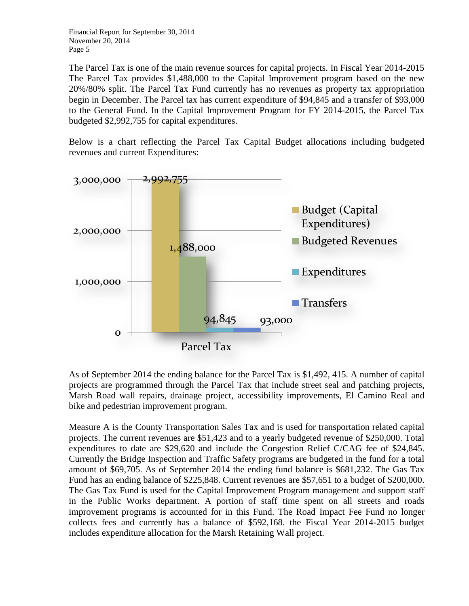The Parcel Tax is one of the main revenue sources for capital projects. In Fiscal Year 2014-2015 The Parcel Tax provides \$1,488,000 to the Capital Improvement program based on the new 20%/80% split. The Parcel Tax Fund currently has no revenues as property tax appropriation begin in December. The Parcel tax has current expenditure of \$94,845 and a transfer of \$93,000 to the General Fund. In the Capital Improvement Program for FY 2014-2015, the Parcel Tax budgeted \$2,992,755 for capital expenditures.

Below is a chart reflecting the Parcel Tax Capital Budget allocations including budgeted revenues and current Expenditures:



As of September 2014 the ending balance for the Parcel Tax is \$1,492, 415. A number of capital projects are programmed through the Parcel Tax that include street seal and patching projects, Marsh Road wall repairs, drainage project, accessibility improvements, El Camino Real and bike and pedestrian improvement program.

Measure A is the County Transportation Sales Tax and is used for transportation related capital projects. The current revenues are \$51,423 and to a yearly budgeted revenue of \$250,000. Total expenditures to date are \$29,620 and include the Congestion Relief C/CAG fee of \$24,845. Currently the Bridge Inspection and Traffic Safety programs are budgeted in the fund for a total amount of \$69,705. As of September 2014 the ending fund balance is \$681,232. The Gas Tax Fund has an ending balance of \$225,848. Current revenues are \$57,651 to a budget of \$200,000. The Gas Tax Fund is used for the Capital Improvement Program management and support staff in the Public Works department. A portion of staff time spent on all streets and roads improvement programs is accounted for in this Fund. The Road Impact Fee Fund no longer collects fees and currently has a balance of \$592,168. the Fiscal Year 2014-2015 budget includes expenditure allocation for the Marsh Retaining Wall project.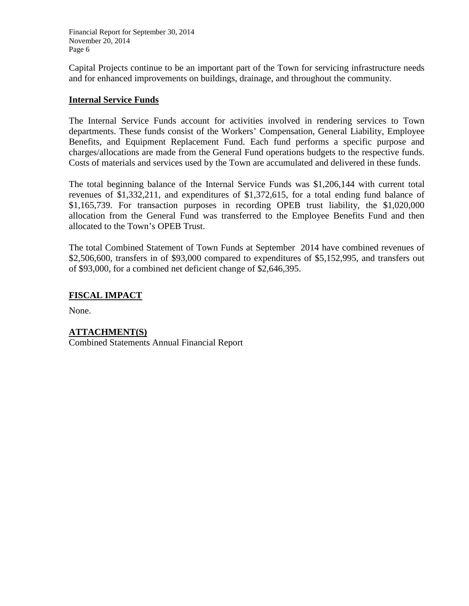Capital Projects continue to be an important part of the Town for servicing infrastructure needs and for enhanced improvements on buildings, drainage, and throughout the community.

### **Internal Service Funds**

The Internal Service Funds account for activities involved in rendering services to Town departments. These funds consist of the Workers' Compensation, General Liability, Employee Benefits, and Equipment Replacement Fund. Each fund performs a specific purpose and charges/allocations are made from the General Fund operations budgets to the respective funds. Costs of materials and services used by the Town are accumulated and delivered in these funds.

The total beginning balance of the Internal Service Funds was \$1,206,144 with current total revenues of \$1,332,211, and expenditures of \$1,372,615, for a total ending fund balance of \$1,165,739. For transaction purposes in recording OPEB trust liability, the \$1,020,000 allocation from the General Fund was transferred to the Employee Benefits Fund and then allocated to the Town's OPEB Trust.

The total Combined Statement of Town Funds at September 2014 have combined revenues of \$2,506,600, transfers in of \$93,000 compared to expenditures of \$5,152,995, and transfers out of \$93,000, for a combined net deficient change of \$2,646,395.

## **FISCAL IMPACT**

None.

### **ATTACHMENT(S)**

Combined Statements Annual Financial Report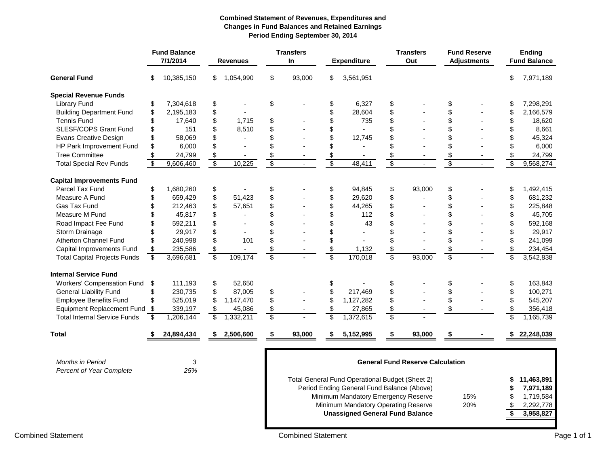#### **Combined Statement of Revenues, Expenditures and Changes in Fund Balances and Retained Earnings Period Ending September 30, 2014**

|                                     |                         | <b>Fund Balance</b><br>7/1/2014 |                         | <b>Revenues</b> |                 | <b>Transfers</b><br>In |                 |                                                 |                 | <b>Expenditure</b>                      |                          | <b>Transfers</b><br>Out |                 | <b>Fund Reserve</b><br><b>Adjustments</b> |  | <b>Ending</b><br><b>Fund Balance</b> |
|-------------------------------------|-------------------------|---------------------------------|-------------------------|-----------------|-----------------|------------------------|-----------------|-------------------------------------------------|-----------------|-----------------------------------------|--------------------------|-------------------------|-----------------|-------------------------------------------|--|--------------------------------------|
| <b>General Fund</b>                 | \$                      | 10,385,150                      | \$                      | 1,054,990       | \$              | 93,000                 | \$              | 3,561,951                                       |                 |                                         |                          |                         | \$              | 7,971,189                                 |  |                                      |
| <b>Special Revenue Funds</b>        |                         |                                 |                         |                 |                 |                        |                 |                                                 |                 |                                         |                          |                         |                 |                                           |  |                                      |
| <b>Library Fund</b>                 | \$                      | 7,304,618                       | \$                      |                 | \$              |                        | \$              | 6,327                                           | \$              |                                         | \$                       |                         | \$              | 7,298,291                                 |  |                                      |
| <b>Building Department Fund</b>     | \$                      | 2,195,183                       | \$                      |                 |                 |                        | \$              | 28,604                                          | \$              |                                         | \$                       |                         | \$              | 2,166,579                                 |  |                                      |
| <b>Tennis Fund</b>                  | \$                      | 17,640                          | \$                      | 1,715           | \$              |                        | \$              | 735                                             | \$              |                                         | \$                       |                         | \$              | 18,620                                    |  |                                      |
| SLESF/COPS Grant Fund               | \$                      | 151                             | \$                      | 8,510           | \$              |                        | \$              |                                                 | \$              |                                         | \$                       |                         | \$              | 8,661                                     |  |                                      |
| <b>Evans Creative Design</b>        | \$                      | 58,069                          | \$                      |                 | \$              |                        | \$              | 12,745                                          | \$              |                                         | \$                       |                         | \$              | 45,324                                    |  |                                      |
| HP Park Improvement Fund            | \$                      | 6,000                           | \$                      | ÷.              | \$              |                        | \$              |                                                 | \$              |                                         | \$                       |                         | \$              | 6,000                                     |  |                                      |
| <b>Tree Committee</b>               |                         | 24,799                          | \$                      |                 |                 |                        | $\frac{1}{2}$   |                                                 | \$              |                                         | \$                       |                         | \$              | 24,799                                    |  |                                      |
| <b>Total Special Rev Funds</b>      | $\overline{\mathbf{S}}$ | 9,606,460                       | $\overline{\$}$         | 10,225          | $\overline{\$}$ | $\sim$                 | $\overline{\$}$ | 48,411                                          | $\overline{\$}$ |                                         | $\overline{\$}$          | $\mathcal{L}$           | $\overline{\$}$ | 9,568,274                                 |  |                                      |
| <b>Capital Improvements Fund</b>    |                         |                                 |                         |                 |                 |                        |                 |                                                 |                 |                                         |                          |                         |                 |                                           |  |                                      |
| Parcel Tax Fund                     | \$                      | 1,680,260                       | \$                      |                 | \$              |                        | \$              | 94,845                                          | \$              | 93,000                                  | \$                       |                         | \$              | 1,492,415                                 |  |                                      |
| Measure A Fund                      | \$                      | 659,429                         | \$                      | 51,423          | \$              |                        | \$              | 29,620                                          | \$              |                                         | \$                       |                         | \$              | 681,232                                   |  |                                      |
| Gas Tax Fund                        |                         | 212,463                         | \$                      | 57,651          | \$              |                        | \$              | 44,265                                          | \$              |                                         | \$                       |                         | \$              | 225,848                                   |  |                                      |
| Measure M Fund                      |                         | 45,817                          | \$                      |                 | \$              |                        | \$              | 112                                             | \$              |                                         | \$                       |                         | \$              | 45,705                                    |  |                                      |
| Road Impact Fee Fund                | \$                      | 592,211                         | \$                      |                 | \$              |                        | \$              | 43                                              | \$              |                                         | \$                       |                         | \$              | 592,168                                   |  |                                      |
| Storm Drainage                      |                         | 29,917                          | \$                      |                 | \$              |                        | \$              |                                                 | \$              |                                         | \$                       |                         | \$              | 29,917                                    |  |                                      |
| Atherton Channel Fund               | \$                      | 240,998                         | \$                      | 101             | \$              |                        | \$              |                                                 | \$              |                                         | \$                       |                         | \$              | 241,099                                   |  |                                      |
| Capital Improvements Fund           | \$                      | 235,586                         | \$                      |                 | \$              |                        | \$              | 1,132                                           | \$              |                                         | \$                       |                         | \$              | 234,454                                   |  |                                      |
| <b>Total Capital Projects Funds</b> | $\overline{\mathbf{S}}$ | 3,696,681                       | $\overline{\$}$         | 109,174         | \$              |                        | $\overline{\$}$ | 170,018                                         | $\overline{\$}$ | 93,000                                  | $\overline{\mathcal{S}}$ |                         | $\overline{\$}$ | 3,542,838                                 |  |                                      |
| <b>Internal Service Fund</b>        |                         |                                 |                         |                 |                 |                        |                 |                                                 |                 |                                         |                          |                         |                 |                                           |  |                                      |
| Workers' Compensation Fund          | \$                      | 111,193                         | \$                      | 52,650          |                 |                        | \$              |                                                 | \$              |                                         | \$                       |                         | \$              | 163,843                                   |  |                                      |
| <b>General Liability Fund</b>       | \$                      | 230,735                         | \$                      | 87,005          | \$              |                        | \$              | 217,469                                         | \$              |                                         | \$                       |                         | \$              | 100,271                                   |  |                                      |
| <b>Employee Benefits Fund</b>       | \$                      | 525,019                         | \$                      | 1,147,470       | \$              |                        | \$              | 1,127,282                                       | \$              |                                         | \$                       |                         | \$              | 545,207                                   |  |                                      |
| <b>Equipment Replacement Fund</b>   | -\$                     | 339,197                         | \$                      | 45,086          | \$              |                        | \$              | 27,865                                          | \$              |                                         | \$                       |                         | \$              | 356,418                                   |  |                                      |
| <b>Total Internal Service Funds</b> | \$                      | 1,206,144                       | $\overline{\mathbf{S}}$ | 1,332,211       | \$              |                        | $\overline{\$}$ | 1,372,615                                       | \$              |                                         |                          |                         | $\overline{\$}$ | 1,165,739                                 |  |                                      |
| <b>Total</b>                        | S.                      | 24,894,434                      | \$                      | 2,506,600       | \$              | 93,000                 | \$              | 5,152,995                                       | \$              | 93,000                                  |                          |                         |                 | 22,248,039                                |  |                                      |
|                                     |                         |                                 |                         |                 |                 |                        |                 |                                                 |                 |                                         |                          |                         |                 |                                           |  |                                      |
| <b>Months in Period</b>             |                         | 3                               |                         |                 |                 |                        |                 |                                                 |                 | <b>General Fund Reserve Calculation</b> |                          |                         |                 |                                           |  |                                      |
| Percent of Year Complete            |                         | 25%                             |                         |                 |                 |                        |                 |                                                 |                 |                                         |                          |                         |                 |                                           |  |                                      |
|                                     |                         |                                 |                         |                 |                 |                        |                 | Total General Fund Operational Budget (Sheet 2) |                 |                                         |                          |                         | S               | 11,463,891                                |  |                                      |
|                                     |                         |                                 |                         |                 |                 |                        |                 | Period Ending General Fund Balance (Above)      |                 |                                         |                          |                         | S               | 7,971,189                                 |  |                                      |
|                                     |                         |                                 |                         |                 |                 |                        |                 | Minimum Mandatory Emergency Reserve             |                 |                                         |                          | 15%                     | \$              | 1,719,584                                 |  |                                      |
|                                     |                         |                                 |                         |                 |                 |                        |                 | Minimum Mandatory Operating Reserve             |                 |                                         |                          | 20%                     | \$              | 2,292,778                                 |  |                                      |

**Unassigned General Fund Balance**

**\$ 3,958,827**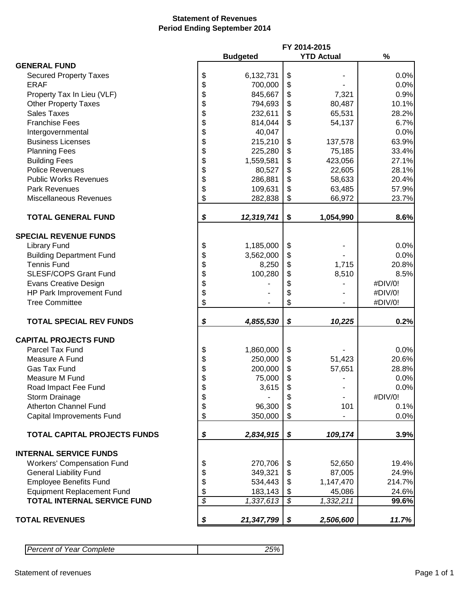### **Statement of Revenues Period Ending September 2014**

|                                     |                  |                          | FY 2014-2015      |         |
|-------------------------------------|------------------|--------------------------|-------------------|---------|
|                                     | <b>Budgeted</b>  |                          | <b>YTD Actual</b> | %       |
| <b>GENERAL FUND</b>                 |                  |                          |                   |         |
| <b>Secured Property Taxes</b>       | \$<br>6,132,731  | \$                       |                   | 0.0%    |
| <b>ERAF</b>                         | \$<br>700,000    | \$                       |                   | 0.0%    |
| Property Tax In Lieu (VLF)          | \$<br>845,667    | \$                       | 7,321             | 0.9%    |
| <b>Other Property Taxes</b>         | \$<br>794,693    | \$                       | 80,487            | 10.1%   |
| <b>Sales Taxes</b>                  | \$<br>232,611    | \$                       | 65,531            | 28.2%   |
| <b>Franchise Fees</b>               | \$<br>814,044    | \$                       |                   | 6.7%    |
|                                     |                  |                          | 54,137            |         |
| Intergovernmental                   | \$<br>40,047     |                          |                   | 0.0%    |
| <b>Business Licenses</b>            | \$<br>215,210    | \$                       | 137,578           | 63.9%   |
| <b>Planning Fees</b>                | \$<br>225,280    | \$                       | 75,185            | 33.4%   |
| <b>Building Fees</b>                | \$<br>1,559,581  | \$                       | 423,056           | 27.1%   |
| <b>Police Revenues</b>              | \$<br>80,527     | \$                       | 22,605            | 28.1%   |
| <b>Public Works Revenues</b>        | \$<br>286,881    | \$                       | 58,633            | 20.4%   |
| <b>Park Revenues</b>                | \$<br>109,631    | \$                       | 63,485            | 57.9%   |
| <b>Miscellaneous Revenues</b>       | \$<br>282,838    | \$                       | 66,972            | 23.7%   |
| <b>TOTAL GENERAL FUND</b>           | \$<br>12,319,741 | \$                       | 1,054,990         | 8.6%    |
|                                     |                  |                          |                   |         |
| <b>SPECIAL REVENUE FUNDS</b>        |                  |                          |                   |         |
|                                     |                  |                          |                   | 0.0%    |
| <b>Library Fund</b>                 | \$<br>1,185,000  | \$                       |                   |         |
| <b>Building Department Fund</b>     | \$<br>3,562,000  | \$                       |                   | 0.0%    |
| <b>Tennis Fund</b>                  | \$<br>8,250      | \$                       | 1,715             | 20.8%   |
| <b>SLESF/COPS Grant Fund</b>        | \$<br>100,280    | \$                       | 8,510             | 8.5%    |
| <b>Evans Creative Design</b>        | \$               | \$                       |                   | #DIV/0! |
| HP Park Improvement Fund            | \$               | \$                       |                   | #DIV/0! |
| <b>Tree Committee</b>               | \$               | \$                       |                   | #DIV/0! |
| <b>TOTAL SPECIAL REV FUNDS</b>      | \$<br>4,855,530  | \$                       | 10,225            | 0.2%    |
|                                     |                  |                          |                   |         |
| <b>CAPITAL PROJECTS FUND</b>        |                  |                          |                   |         |
| Parcel Tax Fund                     | \$<br>1,860,000  | \$                       |                   | 0.0%    |
| Measure A Fund                      | \$<br>250,000    | \$                       | 51,423            | 20.6%   |
| Gas Tax Fund                        | \$<br>200,000    | \$                       | 57,651            | 28.8%   |
| Measure M Fund                      | \$<br>75,000     | \$                       |                   | 0.0%    |
| Road Impact Fee Fund                | \$<br>3,615      | \$                       |                   | 0.0%    |
| Storm Drainage                      | \$               | \$                       |                   | #DIV/0! |
| <b>Atherton Channel Fund</b>        | \$<br>96,300     | \$                       | 101               | 0.1%    |
| <b>Capital Improvements Fund</b>    | \$<br>350,000    | \$                       |                   | 0.0%    |
|                                     |                  |                          |                   |         |
| <b>TOTAL CAPITAL PROJECTS FUNDS</b> | \$<br>2,834,915  | \$                       | 109,174           | 3.9%    |
|                                     |                  |                          |                   |         |
| <b>INTERNAL SERVICE FUNDS</b>       |                  |                          |                   |         |
| <b>Workers' Compensation Fund</b>   | \$<br>270,706    | \$                       | 52,650            | 19.4%   |
| <b>General Liability Fund</b>       | \$<br>349,321    | \$                       | 87,005            | 24.9%   |
| <b>Employee Benefits Fund</b>       | \$<br>534,443    | \$                       | 1,147,470         | 214.7%  |
| <b>Equipment Replacement Fund</b>   | \$<br>183,143    | \$                       | 45,086            | 24.6%   |
| <b>TOTAL INTERNAL SERVICE FUND</b>  | \$<br>1,337,613  | $\overline{\mathcal{S}}$ | 1,332,211         | 99.6%   |
| <b>TOTAL REVENUES</b>               | \$<br>21,347,799 | \$                       | 2,506,600         | 11.7%   |

| <b>Percent of Year Complete</b> |  |
|---------------------------------|--|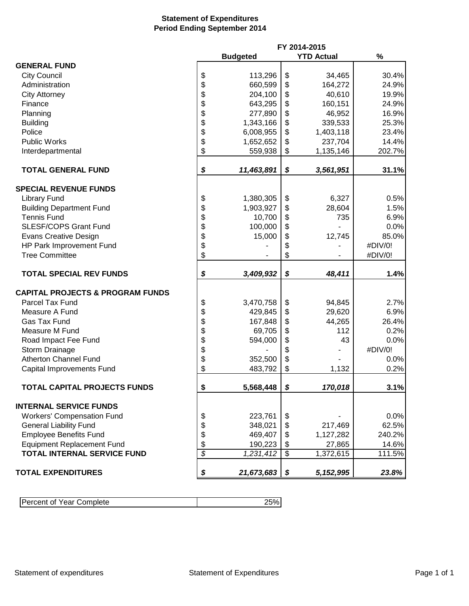## **Statement of Expenditures Period Ending September 2014**

|                                             |                          | FY 2014-2015    |                 |                   |         |
|---------------------------------------------|--------------------------|-----------------|-----------------|-------------------|---------|
|                                             |                          | <b>Budgeted</b> |                 | <b>YTD Actual</b> | $\%$    |
| <b>GENERAL FUND</b>                         |                          |                 |                 |                   |         |
| <b>City Council</b>                         | \$                       | 113,296         | \$              | 34,465            | 30.4%   |
| Administration                              | \$                       | 660,599         | \$              | 164,272           | 24.9%   |
| <b>City Attorney</b>                        | \$                       | 204,100         | \$              | 40,610            | 19.9%   |
| Finance                                     | \$                       | 643,295         | \$              | 160,151           | 24.9%   |
| Planning                                    | \$                       | 277,890         | \$              | 46,952            | 16.9%   |
| <b>Building</b>                             | \$                       | 1,343,166       | \$              | 339,533           | 25.3%   |
| Police                                      | \$                       | 6,008,955       | \$              | 1,403,118         | 23.4%   |
| <b>Public Works</b>                         | \$                       | 1,652,652       | \$              | 237,704           | 14.4%   |
| Interdepartmental                           | \$                       | 559,938         | \$              | 1,135,146         | 202.7%  |
|                                             |                          |                 |                 |                   |         |
| <b>TOTAL GENERAL FUND</b>                   | \$                       | 11,463,891      | \$              | 3,561,951         | 31.1%   |
| <b>SPECIAL REVENUE FUNDS</b>                |                          |                 |                 |                   |         |
| <b>Library Fund</b>                         | \$                       | 1,380,305       | \$              | 6,327             | 0.5%    |
| <b>Building Department Fund</b>             | \$                       | 1,903,927       | \$              | 28,604            | 1.5%    |
| <b>Tennis Fund</b>                          | \$                       | 10,700          | \$              | 735               | 6.9%    |
| <b>SLESF/COPS Grant Fund</b>                | \$                       | 100,000         | \$              |                   | 0.0%    |
| <b>Evans Creative Design</b>                | \$                       | 15,000          | \$              | 12,745            | 85.0%   |
| HP Park Improvement Fund                    | \$                       |                 | \$              |                   | #DIV/0! |
| <b>Tree Committee</b>                       | \$                       |                 | \$              |                   | #DIV/0! |
|                                             |                          |                 |                 |                   |         |
| <b>TOTAL SPECIAL REV FUNDS</b>              | \$                       | 3,409,932       | \$              | 48,411            | 1.4%    |
| <b>CAPITAL PROJECTS &amp; PROGRAM FUNDS</b> |                          |                 |                 |                   |         |
| Parcel Tax Fund                             | \$                       | 3,470,758       | \$              | 94,845            | 2.7%    |
| Measure A Fund                              | \$                       | 429,845         | \$              | 29,620            | 6.9%    |
| Gas Tax Fund                                | \$                       | 167,848         | \$              | 44,265            | 26.4%   |
| Measure M Fund                              | \$                       | 69,705          | \$              | 112               | 0.2%    |
| Road Impact Fee Fund                        |                          | 594,000         | \$              | 43                | 0.0%    |
| Storm Drainage                              |                          |                 | \$              |                   | #DIV/0! |
| <b>Atherton Channel Fund</b>                | \$\$                     | 352,500         | \$              |                   | 0.0%    |
| Capital Improvements Fund                   | \$                       | 483,792         | \$              | 1,132             | 0.2%    |
|                                             |                          |                 |                 |                   |         |
| TOTAL CAPITAL PROJECTS FUNDS                | \$                       | 5,568,448       | \$              | 170,018           | 3.1%    |
| <b>INTERNAL SERVICE FUNDS</b>               |                          |                 |                 |                   |         |
|                                             |                          |                 |                 |                   |         |
| <b>Workers' Compensation Fund</b>           | \$                       | 223,761         | \$              |                   | 0.0%    |
| <b>General Liability Fund</b>               | \$                       | 348,021         | \$              | 217,469           | 62.5%   |
| <b>Employee Benefits Fund</b>               | \$                       | 469,407         | \$              | 1,127,282         | 240.2%  |
| <b>Equipment Replacement Fund</b>           | \$                       | 190,223         | \$              | 27,865            | 14.6%   |
| <b>TOTAL INTERNAL SERVICE FUND</b>          | $\overline{\mathcal{S}}$ | 1,231,412       | $\overline{\$}$ | 1,372,615         | 111.5%  |
| <b>TOTAL EXPENDITURES</b>                   | \$                       | 21,673,683      | \$              | 5, 152, 995       | 23.8%   |

| Percent of<br>Year Complete |  |
|-----------------------------|--|
|                             |  |